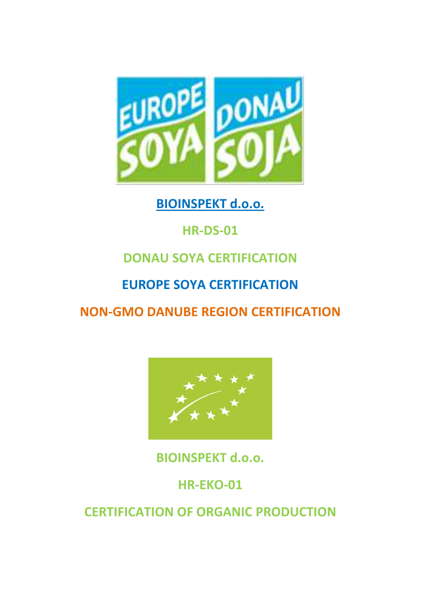

### **BIOINSPEKT d.o.o.**

# **HR-DS-01**

# **DONAU SOYA CERTIFICATION**

### **EUROPE SOYA CERTIFICATION**

## **NON-GMO DANUBE REGION CERTIFICATION**



**BIOINSPEKT d.o.o.** 

## **HR-EKO-01**

**CERTIFICATION OF ORGANIC PRODUCTION**